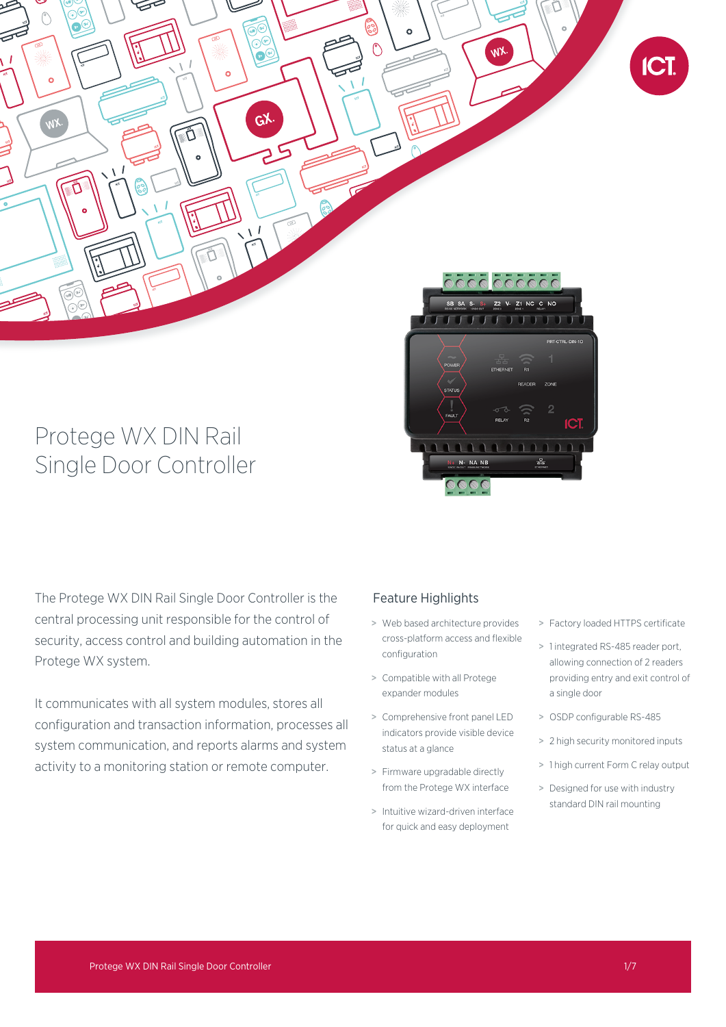

# Protege WX DIN Rail Single Door Controller

The Protege WX DIN Rail Single Door Controller is the central processing unit responsible for the control of security, access control and building automation in the Protege WX system.

It communicates with all system modules, stores all configuration and transaction information, processes all system communication, and reports alarms and system activity to a monitoring station or remote computer.

## Feature Highlights

> Web based architecture provides cross-platform access and flexible configuration

<u>anno</u>

- > Compatible with all Protege expander modules
- > Comprehensive front panel LED indicators provide visible device status at a glance
- > Firmware upgradable directly from the Protege WX interface
- > Intuitive wizard-driven interface for quick and easy deployment
- > Factory loaded HTTPS certificate
- > 1 integrated RS-485 reader port, allowing connection of 2 readers providing entry and exit control of a single door
- > OSDP configurable RS-485
- > 2 high security monitored inputs
- > 1 high current Form C relay output
- > Designed for use with industry standard DIN rail mounting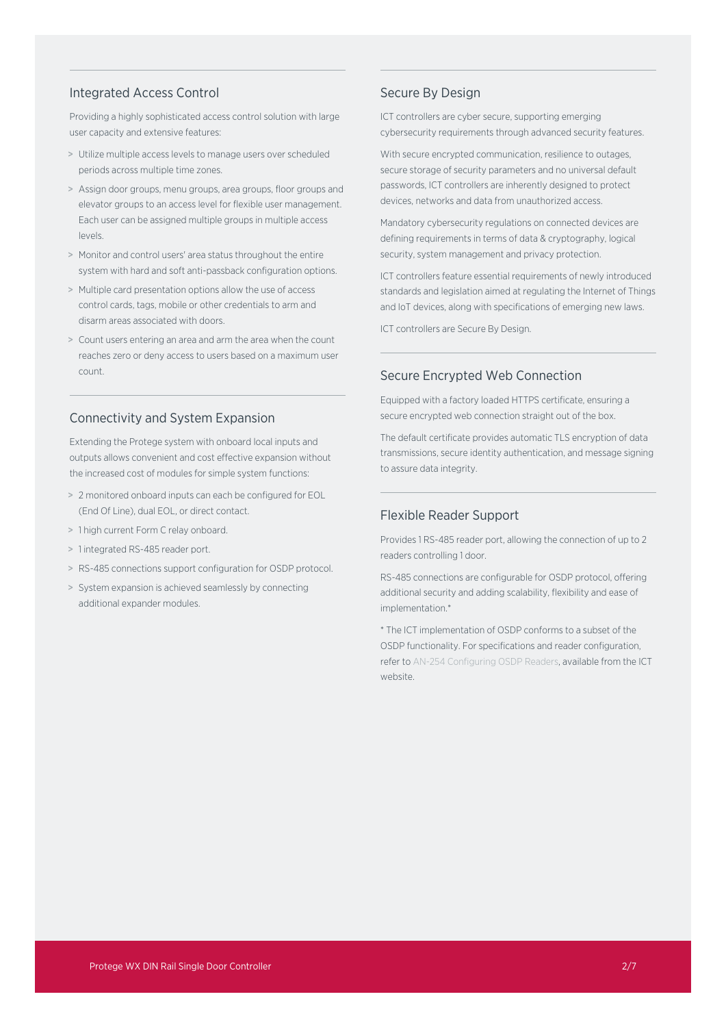#### Integrated Access Control

Providing a highly sophisticated access control solution with large user capacity and extensive features:

- > Utilize multiple access levels to manage users over scheduled periods across multiple time zones.
- > Assign door groups, menu groups, area groups, floor groups and elevator groups to an access level for flexible user management. Each user can be assigned multiple groups in multiple access levels.
- > Monitor and control users' area status throughout the entire system with hard and soft anti-passback configuration options.
- > Multiple card presentation options allow the use of access control cards, tags, mobile or other credentials to arm and disarm areas associated with doors.
- > Count users entering an area and arm the area when the count reaches zero or deny access to users based on a maximum user count.

#### Connectivity and System Expansion

Extending the Protege system with onboard local inputs and outputs allows convenient and cost effective expansion without the increased cost of modules for simple system functions:

- > 2 monitored onboard inputs can each be configured for EOL (End Of Line), dual EOL, or direct contact.
- > 1 high current Form C relay onboard.
- > 1 integrated RS-485 reader port.
- > RS-485 connections support configuration for OSDP protocol.
- > System expansion is achieved seamlessly by connecting additional expander modules.

#### Secure By Design

ICT controllers are cyber secure, supporting emerging cybersecurity requirements through advanced security features.

With secure encrypted communication, resilience to outages, secure storage of security parameters and no universal default passwords, ICT controllers are inherently designed to protect devices, networks and data from unauthorized access.

Mandatory cybersecurity regulations on connected devices are defining requirements in terms of data & cryptography, logical security, system management and privacy protection.

ICT controllers feature essential requirements of newly introduced standards and legislation aimed at regulating the Internet of Things and IoT devices, along with specifications of emerging new laws.

ICT controllers are Secure By Design.

### Secure Encrypted Web Connection

Equipped with a factory loaded HTTPS certificate, ensuring a secure encrypted web connection straight out of the box.

The default certificate provides automatic TLS encryption of data transmissions, secure identity authentication, and message signing to assure data integrity.

### Flexible Reader Support

Provides 1 RS-485 reader port, allowing the connection of up to 2 readers controlling 1 door.

RS-485 connections are configurable for OSDP protocol, offering additional security and adding scalability, flexibility and ease of implementation.\*

\* The ICT implementation of OSDP conforms to a subset of the OSDP functionality. For specifications and reader configuration, refer to AN-254 Configuring OSDP Readers, available from the ICT website.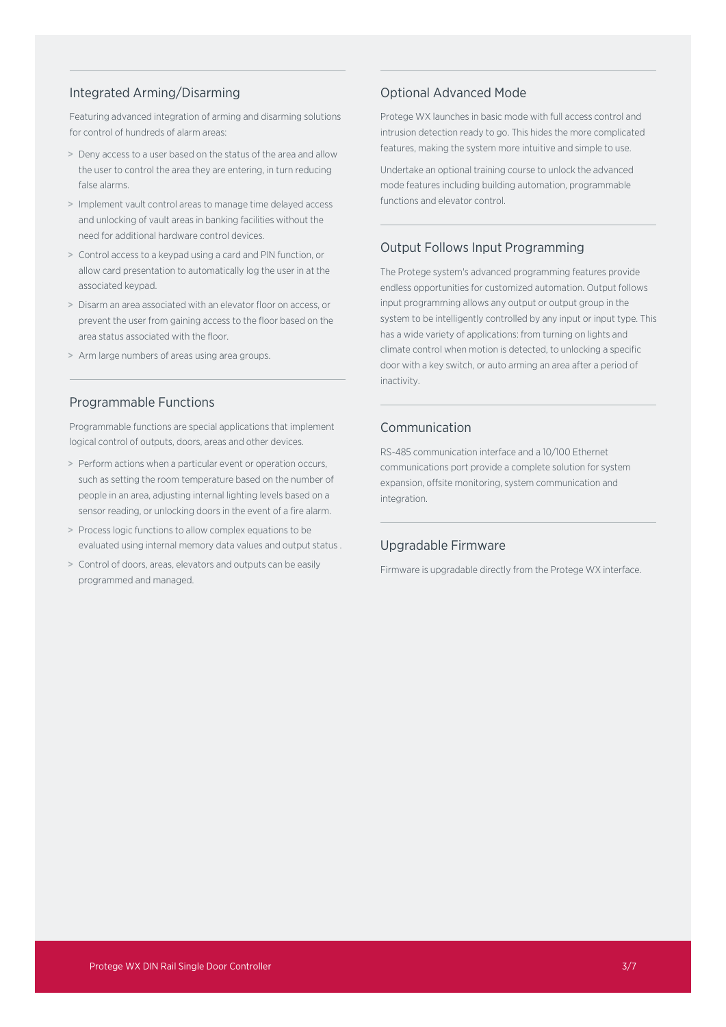## Integrated Arming/Disarming

Featuring advanced integration of arming and disarming solutions for control of hundreds of alarm areas:

- > Deny access to a user based on the status of the area and allow the user to control the area they are entering, in turn reducing false alarms.
- > Implement vault control areas to manage time delayed access and unlocking of vault areas in banking facilities without the need for additional hardware control devices.
- > Control access to a keypad using a card and PIN function, or allow card presentation to automatically log the user in at the associated keypad.
- > Disarm an area associated with an elevator floor on access, or prevent the user from gaining access to the floor based on the area status associated with the floor.
- > Arm large numbers of areas using area groups.

## Programmable Functions

Programmable functions are special applications that implement logical control of outputs, doors, areas and other devices.

- > Perform actions when a particular event or operation occurs, such as setting the room temperature based on the number of people in an area, adjusting internal lighting levels based on a sensor reading, or unlocking doors in the event of a fire alarm.
- > Process logic functions to allow complex equations to be evaluated using internal memory data values and output status .
- > Control of doors, areas, elevators and outputs can be easily programmed and managed.

## Optional Advanced Mode

Protege WX launches in basic mode with full access control and intrusion detection ready to go. This hides the more complicated features, making the system more intuitive and simple to use.

Undertake an optional training course to unlock the advanced mode features including building automation, programmable functions and elevator control.

## Output Follows Input Programming

The Protege system's advanced programming features provide endless opportunities for customized automation. Output follows input programming allows any output or output group in the system to be intelligently controlled by any input or input type. This has a wide variety of applications: from turning on lights and climate control when motion is detected, to unlocking a specific door with a key switch, or auto arming an area after a period of inactivity.

#### Communication

RS-485 communication interface and a 10/100 Ethernet communications port provide a complete solution for system expansion, offsite monitoring, system communication and integration.

## Upgradable Firmware

Firmware is upgradable directly from the Protege WX interface.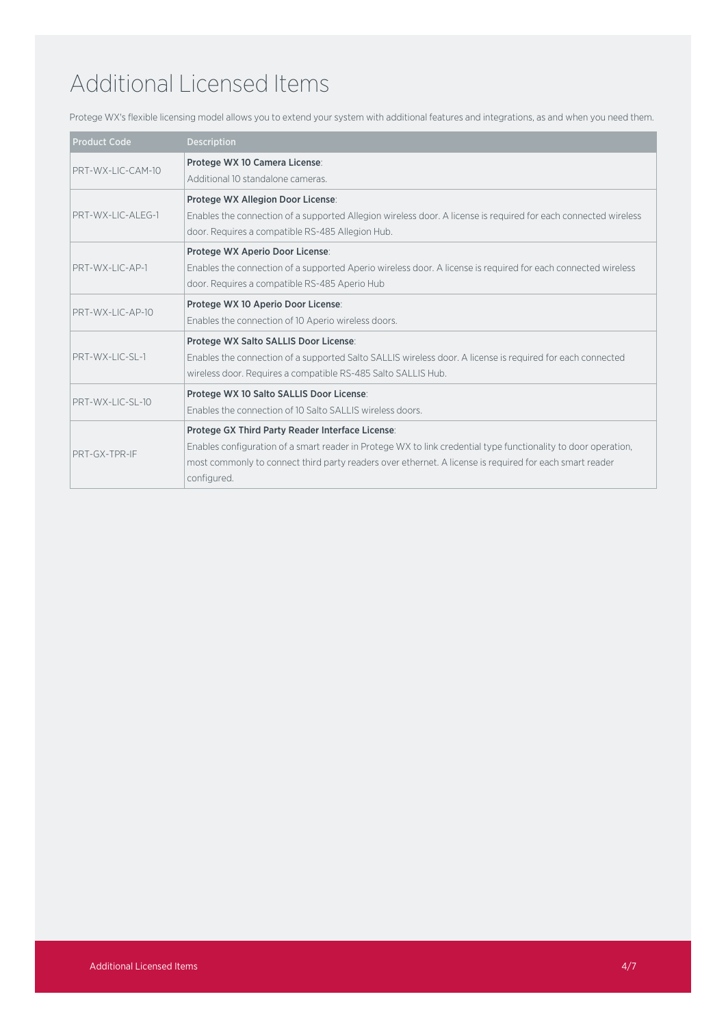# Additional Licensed Items

Protege WX's flexible licensing model allows you to extend your system with additional features and integrations, as and when you need them.

| <b>Product Code</b>                    | <b>Description</b>                                                                                                                                   |
|----------------------------------------|------------------------------------------------------------------------------------------------------------------------------------------------------|
| PRT-WX-IIC-CAM-10<br>PRT-WX-LIC-ALFG-1 | Protege WX 10 Camera License:<br>Additional 10 standalone cameras                                                                                    |
|                                        |                                                                                                                                                      |
|                                        | Protege WX Allegion Door License:<br>Enables the connection of a supported Allegion wireless door. A license is required for each connected wireless |
|                                        | door. Requires a compatible RS-485 Allegion Hub.                                                                                                     |
| PRT-WX-I IC-AP-1                       | Protege WX Aperio Door License:                                                                                                                      |
|                                        | Enables the connection of a supported Aperio wireless door. A license is required for each connected wireless                                        |
|                                        | door. Requires a compatible RS-485 Aperio Hub                                                                                                        |
| PRT-WX-LIC-AP-10                       | Protege WX 10 Aperio Door License:                                                                                                                   |
|                                        | Enables the connection of 10 Aperio wireless doors.                                                                                                  |
| PRT-WX-LIC-SL-1                        | Protege WX Salto SALLIS Door License:                                                                                                                |
|                                        | Enables the connection of a supported Salto SALLIS wireless door. A license is required for each connected                                           |
|                                        | wireless door. Requires a compatible RS-485 Salto SALLIS Hub.                                                                                        |
| <b>PRT-WX-LIC-SL-10</b>                | Protege WX 10 Salto SALLIS Door License:                                                                                                             |
|                                        | Enables the connection of 10 Salto SALLIS wireless doors.                                                                                            |
| PRT-GX-TPR-IF                          | Protege GX Third Party Reader Interface License:                                                                                                     |
|                                        | Enables configuration of a smart reader in Protege WX to link credential type functionality to door operation,                                       |
|                                        | most commonly to connect third party readers over ethernet. A license is required for each smart reader                                              |
|                                        | configured.                                                                                                                                          |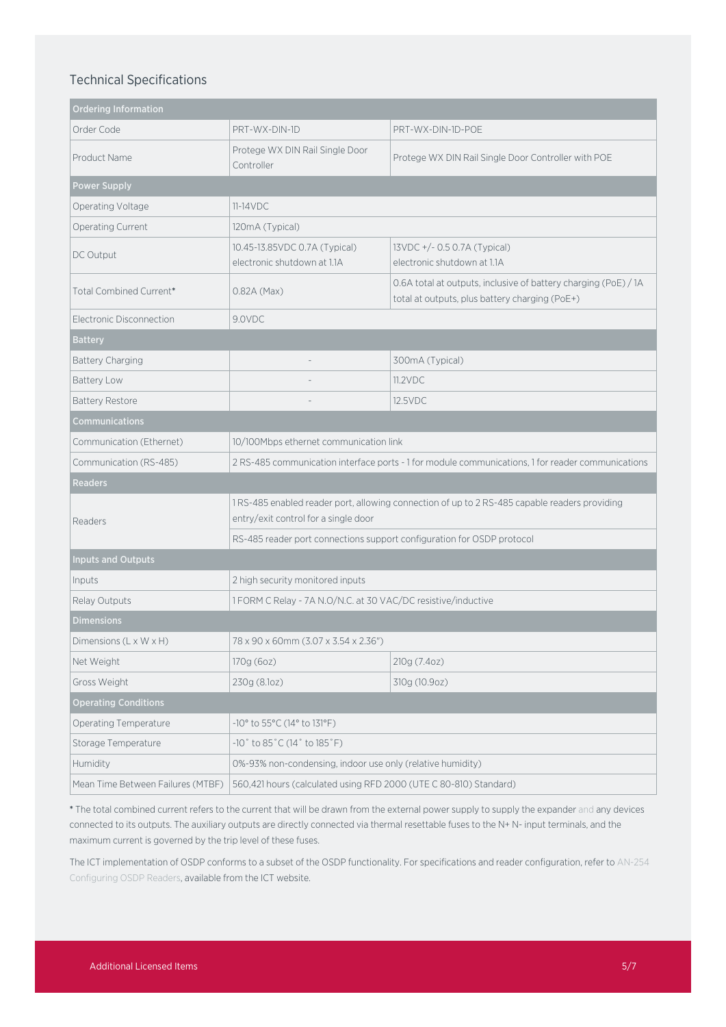## Technical Specifications

| <b>Ordering Information</b>        |                                                                                                                                       |                                                                                                                   |  |  |
|------------------------------------|---------------------------------------------------------------------------------------------------------------------------------------|-------------------------------------------------------------------------------------------------------------------|--|--|
| Order Code                         | PRT-WX-DIN-1D                                                                                                                         | PRT-WX-DIN-1D-POE                                                                                                 |  |  |
| Product Name                       | Protege WX DIN Rail Single Door<br>Controller                                                                                         | Protege WX DIN Rail Single Door Controller with POE                                                               |  |  |
| Power Supply                       |                                                                                                                                       |                                                                                                                   |  |  |
| Operating Voltage                  | $11-14VDC$                                                                                                                            |                                                                                                                   |  |  |
| Operating Current                  | 120mA (Typical)                                                                                                                       |                                                                                                                   |  |  |
| DC Output                          | 10.45-13.85VDC 0.7A (Typical)<br>electronic shutdown at 1.1A                                                                          | 13VDC +/- 0.5 0.7A (Typical)<br>electronic shutdown at 1.1A                                                       |  |  |
| Total Combined Current*            | $0.82A$ (Max)                                                                                                                         | 0.6A total at outputs, inclusive of battery charging (PoE) / 1A<br>total at outputs, plus battery charging (PoE+) |  |  |
| Electronic Disconnection           | 9.0VDC                                                                                                                                |                                                                                                                   |  |  |
| <b>Battery</b>                     |                                                                                                                                       |                                                                                                                   |  |  |
| <b>Battery Charging</b>            |                                                                                                                                       | 300mA (Typical)                                                                                                   |  |  |
| <b>Battery Low</b>                 |                                                                                                                                       | 11.2VDC                                                                                                           |  |  |
| <b>Battery Restore</b>             |                                                                                                                                       | 12.5VDC                                                                                                           |  |  |
| Communications                     |                                                                                                                                       |                                                                                                                   |  |  |
| Communication (Ethernet)           | 10/100Mbps ethernet communication link                                                                                                |                                                                                                                   |  |  |
| Communication (RS-485)             | 2 RS-485 communication interface ports - 1 for module communications, 1 for reader communications                                     |                                                                                                                   |  |  |
| Readers                            |                                                                                                                                       |                                                                                                                   |  |  |
| Readers                            | 1 RS-485 enabled reader port, allowing connection of up to 2 RS-485 capable readers providing<br>entry/exit control for a single door |                                                                                                                   |  |  |
|                                    | RS-485 reader port connections support configuration for OSDP protocol                                                                |                                                                                                                   |  |  |
| <b>Inputs and Outputs</b>          |                                                                                                                                       |                                                                                                                   |  |  |
| Inputs                             | 2 high security monitored inputs                                                                                                      |                                                                                                                   |  |  |
| Relay Outputs                      | 1 FORM C Relay - 7A N.O/N.C. at 30 VAC/DC resistive/inductive                                                                         |                                                                                                                   |  |  |
| <b>Dimensions</b>                  |                                                                                                                                       |                                                                                                                   |  |  |
| Dimensions $(L \times W \times H)$ | 78 x 90 x 60mm (3.07 x 3.54 x 2.36")                                                                                                  |                                                                                                                   |  |  |
| Net Weight                         | 170g (6oz)                                                                                                                            | 210g (7.4oz)                                                                                                      |  |  |
| Gross Weight                       | 230g (8.1oz)                                                                                                                          | 310g (10.9oz)                                                                                                     |  |  |
| <b>Operating Conditions</b>        |                                                                                                                                       |                                                                                                                   |  |  |
| Operating Temperature              | -10° to 55°C (14° to 131°F)                                                                                                           |                                                                                                                   |  |  |
| Storage Temperature                | -10° to 85°C (14° to 185°F)                                                                                                           |                                                                                                                   |  |  |
| Humidity                           | 0%-93% non-condensing, indoor use only (relative humidity)                                                                            |                                                                                                                   |  |  |
| Mean Time Between Failures (MTBF)  | 560,421 hours (calculated using RFD 2000 (UTE C 80-810) Standard)                                                                     |                                                                                                                   |  |  |

\* The total combined current refers to the current that will be drawn from the external power supply to supply the expander and any devices connected to its outputs. The auxiliary outputs are directly connected via thermal resettable fuses to the N+ N- input terminals, and the maximum current is governed by the trip level of these fuses.

The ICT implementation of OSDP conforms to a subset of the OSDP functionality. For specifications and reader configuration, refer to AN-254 Configuring OSDP Readers, available from the ICT website.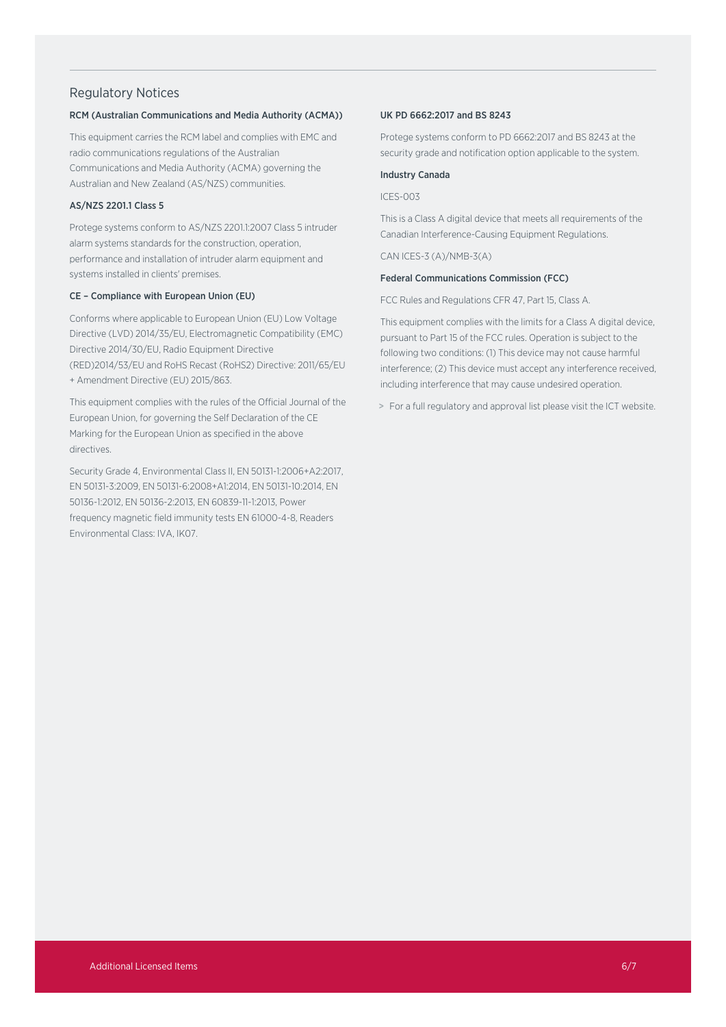#### Regulatory Notices

#### RCM (Australian Communications and Media Authority (ACMA))

This equipment carries the RCM label and complies with EMC and radio communications regulations of the Australian Communications and Media Authority (ACMA) governing the Australian and New Zealand (AS/NZS) communities.

#### AS/NZS 2201.1 Class 5

Protege systems conform to AS/NZS 2201.1:2007 Class 5 intruder alarm systems standards for the construction, operation, performance and installation of intruder alarm equipment and systems installed in clients' premises.

#### CE – Compliance with European Union (EU)

Conforms where applicable to European Union (EU) Low Voltage Directive (LVD) 2014/35/EU, Electromagnetic Compatibility (EMC) Directive 2014/30/EU, Radio Equipment Directive (RED)2014/53/EU and RoHS Recast (RoHS2) Directive: 2011/65/EU + Amendment Directive (EU) 2015/863.

This equipment complies with the rules of the Official Journal of the European Union, for governing the Self Declaration of the CE Marking for the European Union as specified in the above directives.

Security Grade 4, Environmental Class II, EN 50131-1:2006+A2:2017, EN 50131-3:2009, EN 50131-6:2008+A1:2014, EN 50131-10:2014, EN 50136-1:2012, EN 50136-2:2013, EN 60839-11-1:2013, Power frequency magnetic field immunity tests EN 61000-4-8, Readers Environmental Class: IVA, IK07.

#### UK PD 6662:2017 and BS 8243

Protege systems conform to PD 6662:2017 and BS 8243 at the security grade and notification option applicable to the system.

#### Industry Canada

ICES-003

This is a Class A digital device that meets all requirements of the Canadian Interference-Causing Equipment Regulations.

CAN ICES-3 (A)/NMB-3(A)

#### Federal Communications Commission (FCC)

FCC Rules and Regulations CFR 47, Part 15, Class A.

This equipment complies with the limits for a Class A digital device, pursuant to Part 15 of the FCC rules. Operation is subject to the following two conditions: (1) This device may not cause harmful interference; (2) This device must accept any interference received, including interference that may cause undesired operation.

> For a full regulatory and approval list please visit the ICT website.